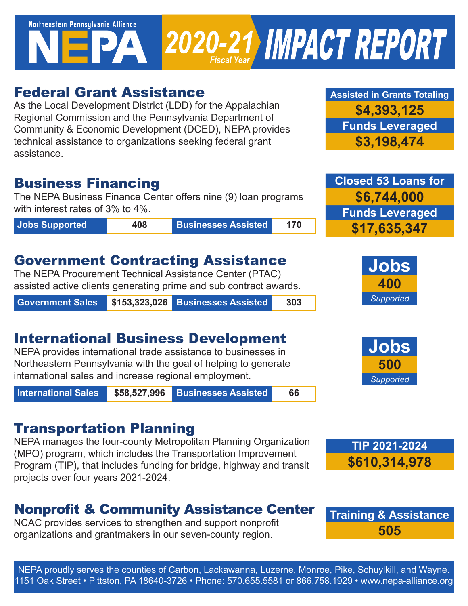# Northeastern Pennsylvania Alliance 2020-21 IMPACT REPORT

## Federal Grant Assistance

As the Local Development District (LDD) for the Appalachian Regional Commission and the Pennsylvania Department of Community & Economic Development (DCED), NEPA provides technical assistance to organizations seeking federal grant assistance.

### Business Financing

The NEPA Business Finance Center offers nine (9) loan programs with interest rates of 3% to 4%.

**Jobs Supported 408 Businesses Assisted 170**

## Government Contracting Assistance

The NEPA Procurement Technical Assistance Center (PTAC) assisted active clients generating prime and sub contract awards.

**Government Sales \$153,323,026 Businesses Assisted 303**

# International Business Development

NEPA provides international trade assistance to businesses in Northeastern Pennsylvania with the goal of helping to generate international sales and increase regional employment.

**International Sales \$58,527,996 Businesses Assisted 66**

# Transportation Planning

NEPA manages the four-county Metropolitan Planning Organization (MPO) program, which includes the Transportation Improvement Program (TIP), that includes funding for bridge, highway and transit projects over four years 2021-2024.

# Nonprofit & Community Assistance Center

NCAC provides services to strengthen and support nonprofit organizations and grantmakers in our seven-county region.

**Assisted in Grants Totaling \$4,393,125 Funds Leveraged \$3,198,474**

**Closed 53 Loans for \$6,744,000 Funds Leveraged \$17,635,347**







**Training & Assistance 505**

NEPA proudly serves the counties of Carbon, Lackawanna, Luzerne, Monroe, Pike, Schuylkill, and Wayne. 1151 Oak Street • Pittston, PA 18640-3726 • Phone: 570.655.5581 or 866.758.1929 • www.nepa-alliance.org